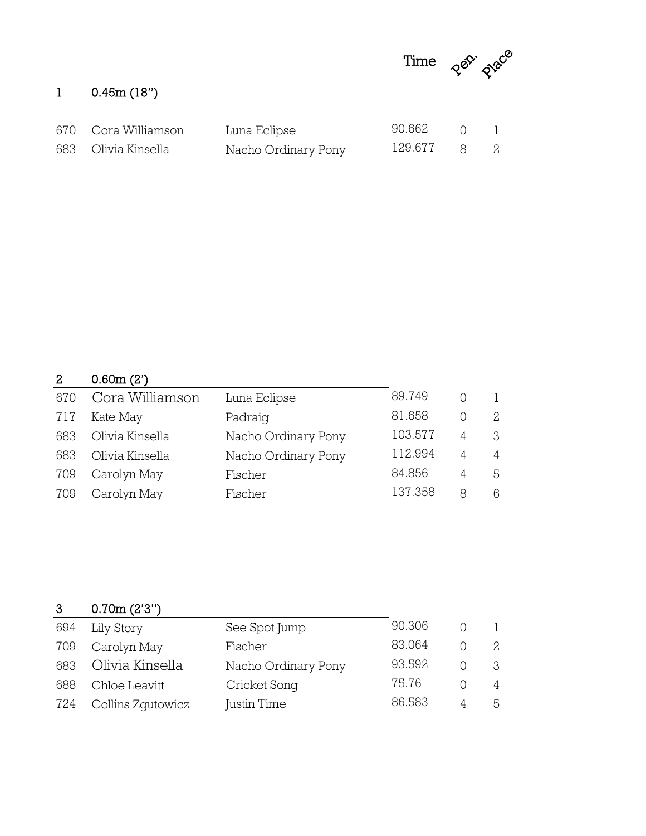

## 0.45m (18")

| 670 Cora Williamson | Luna Eclipse        | 90.662 0 1  |  |
|---------------------|---------------------|-------------|--|
| 683 Olivia Kinsella | Nacho Ordinary Pony | 129.677 8 2 |  |

## 0.60m (2')

| 670 | Cora Williamson | Luna Eclipse        | 89.749  |   | 1 |
|-----|-----------------|---------------------|---------|---|---|
| 717 | Kate May        | Padraig             | 81.658  |   | 2 |
| 683 | Olivia Kinsella | Nacho Ordinary Pony | 103.577 | 4 | 3 |
| 683 | Olivia Kinsella | Nacho Ordinary Pony | 112.994 | 4 | 4 |
| 709 | Carolyn May     | Fischer             | 84.856  | 4 | 5 |
| 709 | Carolyn May     | Fischer             | 137.358 | 8 | 6 |

| $\mathbf{3}$ | 0.70m(2'3'')      |                     |        |   |                |
|--------------|-------------------|---------------------|--------|---|----------------|
| 694          | Lily Story        | See Spot Jump       | 90.306 |   |                |
| 709          | Carolyn May       | Fischer             | 83.064 |   | 2              |
| 683          | Olivia Kinsella   | Nacho Ordinary Pony | 93.592 |   | 3              |
| 688          | Chloe Leavitt     | Cricket Song        | 75.76  |   | $\overline{4}$ |
| 724          | Collins Zqutowicz | Justin Time         | 86.583 | 4 | 5              |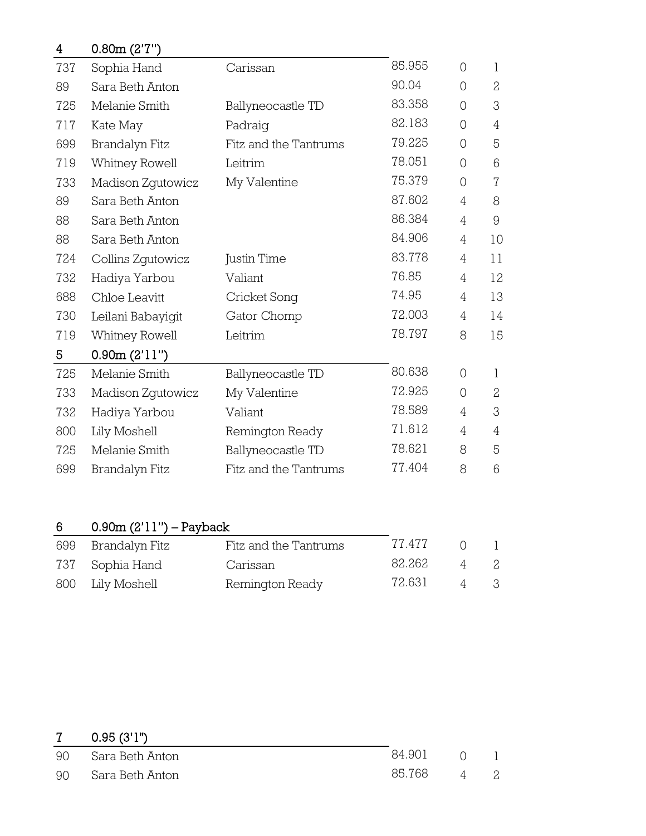| 4   | 0.80m (2'7'')     |                       |        |                |                |
|-----|-------------------|-----------------------|--------|----------------|----------------|
| 737 | Sophia Hand       | Carissan              | 85.955 | $\overline{0}$ | 1              |
| 89  | Sara Beth Anton   |                       | 90.04  | $\overline{O}$ | $\overline{2}$ |
| 725 | Melanie Smith     | Ballyneocastle TD     | 83.358 | 0              | 3              |
| 717 | Kate May          | Padraig               | 82.183 | $\overline{O}$ | 4              |
| 699 | Brandalyn Fitz    | Fitz and the Tantrums | 79.225 | 0              | 5              |
| 719 | Whitney Rowell    | Leitrim               | 78.051 | 0              | 6              |
| 733 | Madison Zgutowicz | My Valentine          | 75.379 | $\overline{0}$ | $\sqrt{ }$     |
| 89  | Sara Beth Anton   |                       | 87.602 | 4              | 8              |
| 88  | Sara Beth Anton   |                       | 86.384 | 4              | $\Theta$       |
| 88  | Sara Beth Anton   |                       | 84.906 | 4              | 10             |
| 724 | Collins Zgutowicz | Justin Time           | 83.778 | 4              | 11             |
| 732 | Hadiya Yarbou     | Valiant               | 76.85  | 4              | 12             |
| 688 | Chloe Leavitt     | Cricket Song          | 74.95  | 4              | 13             |
| 730 | Leilani Babayigit | Gator Chomp           | 72.003 | 4              | 14             |
| 719 | Whitney Rowell    | Leitrim               | 78.797 | 8              | 15             |
| 5   | 0.90m(2'11'')     |                       |        |                |                |
| 725 | Melanie Smith     | Ballyneocastle TD     | 80.638 | 0              | 1              |
| 733 | Madison Zgutowicz | My Valentine          | 72.925 | $\overline{0}$ | $\overline{c}$ |
| 732 | Hadiya Yarbou     | Valiant               | 78.589 | 4              | 3              |
| 800 | Lily Moshell      | Remington Ready       | 71.612 | 4              | $\overline{4}$ |
| 725 | Melanie Smith     | Ballyneocastle TD     | 78.621 | 8              | 5              |
| 699 | Brandalyn Fitz    | Fitz and the Tantrums | 77.404 | 8              | 6              |

## 0.90m (2'11") – Payback

| 699 Brandalyn Fitz | Fitz and the Tantrums | 77.477 |                |     |
|--------------------|-----------------------|--------|----------------|-----|
| 737 Sophia Hand    | Carissan              | 82.262 | 4              |     |
| 800 Lily Moshell   | Remington Ready       | 72.631 | $\overline{4}$ | - 3 |

|    | $0.95$ (3'1")      |        |                |  |
|----|--------------------|--------|----------------|--|
|    | 90 Sara Beth Anton | 84.901 | $\cap$         |  |
| 90 | Sara Beth Anton    | 85.768 | $\overline{4}$ |  |